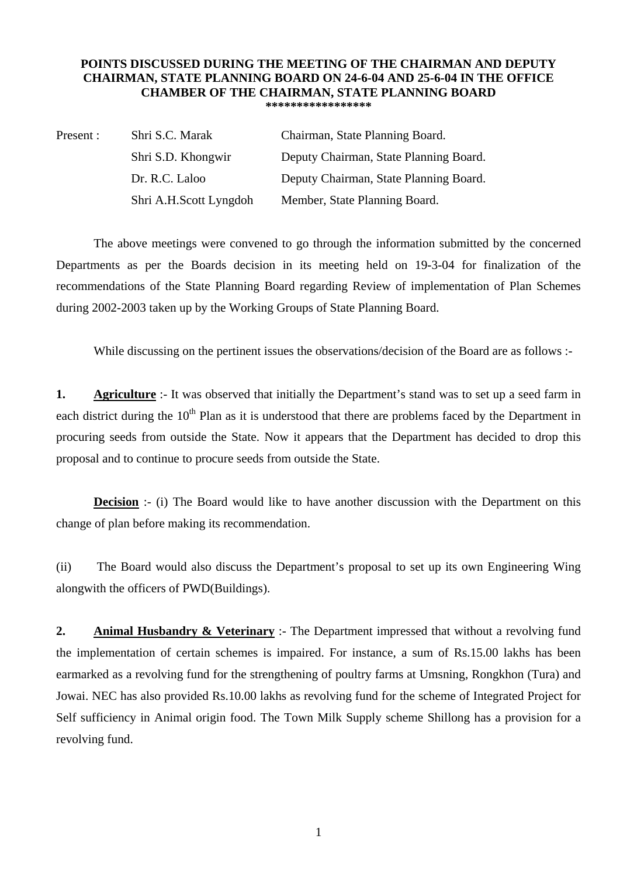## **POINTS DISCUSSED DURING THE MEETING OF THE CHAIRMAN AND DEPUTY CHAIRMAN, STATE PLANNING BOARD ON 24-6-04 AND 25-6-04 IN THE OFFICE CHAMBER OF THE CHAIRMAN, STATE PLANNING BOARD \*\*\*\*\*\*\*\*\*\*\*\*\*\*\*\*\***

| Present : | Shri S.C. Marak        | Chairman, State Planning Board.        |
|-----------|------------------------|----------------------------------------|
|           | Shri S.D. Khongwir     | Deputy Chairman, State Planning Board. |
|           | Dr. R.C. Laloo         | Deputy Chairman, State Planning Board. |
|           | Shri A.H.Scott Lyngdoh | Member, State Planning Board.          |

 The above meetings were convened to go through the information submitted by the concerned Departments as per the Boards decision in its meeting held on 19-3-04 for finalization of the recommendations of the State Planning Board regarding Review of implementation of Plan Schemes during 2002-2003 taken up by the Working Groups of State Planning Board.

While discussing on the pertinent issues the observations/decision of the Board are as follows :-

**1. Agriculture** :- It was observed that initially the Department's stand was to set up a seed farm in each district during the  $10<sup>th</sup>$  Plan as it is understood that there are problems faced by the Department in procuring seeds from outside the State. Now it appears that the Department has decided to drop this proposal and to continue to procure seeds from outside the State.

**Decision** :- (i) The Board would like to have another discussion with the Department on this change of plan before making its recommendation.

(ii) The Board would also discuss the Department's proposal to set up its own Engineering Wing alongwith the officers of PWD(Buildings).

**2. Animal Husbandry & Veterinary** :- The Department impressed that without a revolving fund the implementation of certain schemes is impaired. For instance, a sum of Rs.15.00 lakhs has been earmarked as a revolving fund for the strengthening of poultry farms at Umsning, Rongkhon (Tura) and Jowai. NEC has also provided Rs.10.00 lakhs as revolving fund for the scheme of Integrated Project for Self sufficiency in Animal origin food. The Town Milk Supply scheme Shillong has a provision for a revolving fund.